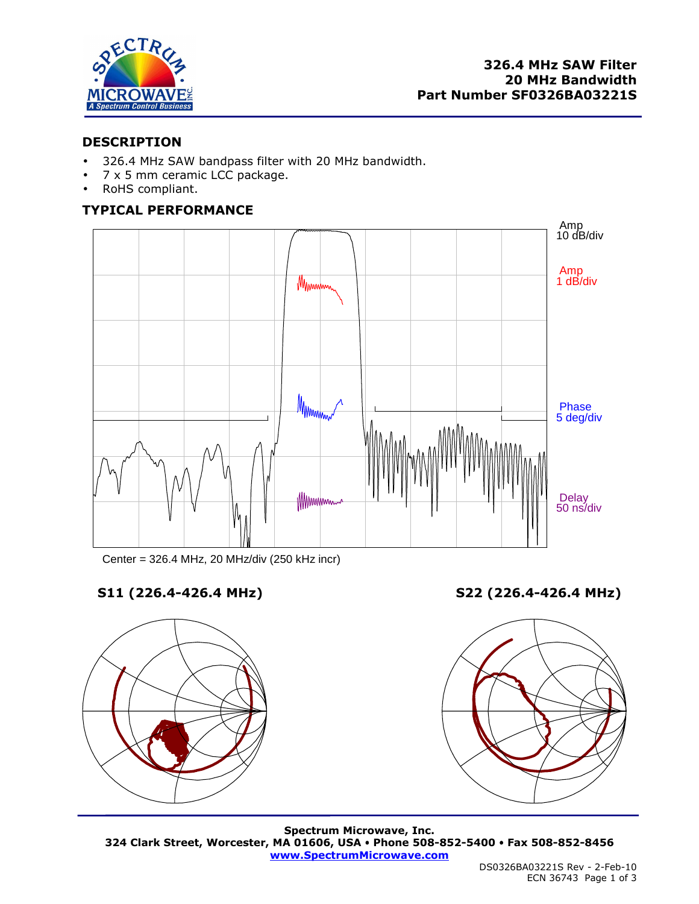

## **DESCRIPTION**

- 326.4 MHz SAW bandpass filter with 20 MHz bandwidth.
- 7 x 5 mm ceramic LCC package.
- RoHS compliant.

# **TYPICAL PERFORMANCE**



Center = 326.4 MHz, 20 MHz/div (250 kHz incr)



**S11 (226.4-426.4 MHz) S22 (226.4-426.4 MHz)** 



**Spectrum Microwave, Inc. 324 Clark Street, Worcester, MA 01606, USA Phone 508-852-5400 Fax 508-852-8456 www.SpectrumMicrowave.com**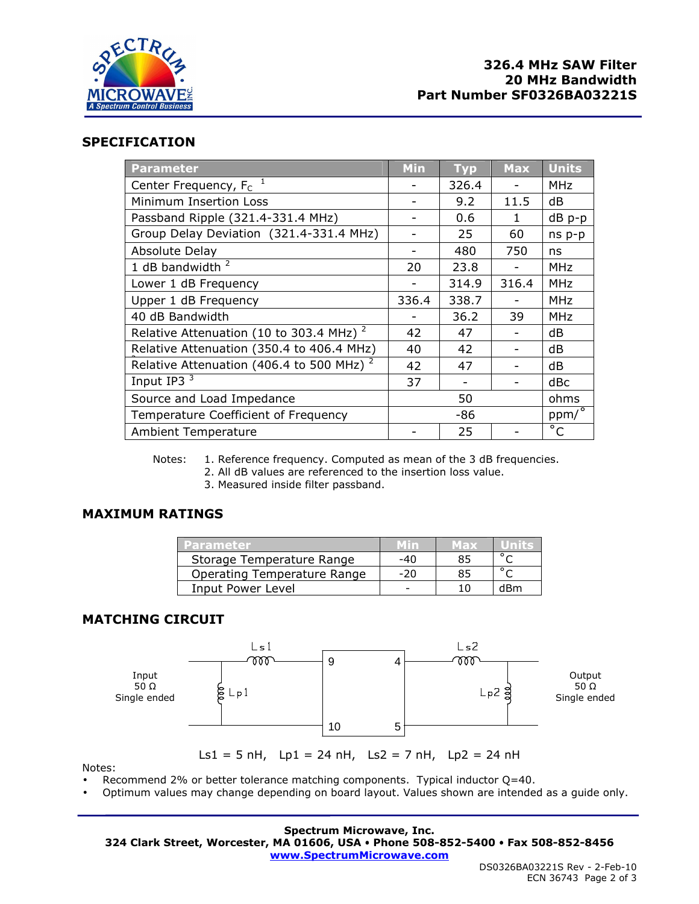

## **SPECIFICATION**

| <b>Parameter</b>                                    | Min   | <b>Typ</b> | <b>Max</b>               | <b>Units</b>    |
|-----------------------------------------------------|-------|------------|--------------------------|-----------------|
| Center Frequency, $F_c$ <sup>1</sup>                |       | 326.4      |                          | <b>MHz</b>      |
| Minimum Insertion Loss                              |       | 9.2        | 11.5                     | dB              |
| Passband Ripple (321.4-331.4 MHz)                   |       | 0.6        | $\mathbf{1}$             | dB p-p          |
| Group Delay Deviation (321.4-331.4 MHz)             |       | 25         | 60                       | ns p-p          |
| Absolute Delay                                      |       | 480        | 750                      | ns              |
| 1 dB bandwidth $2$                                  | 20    | 23.8       | $\overline{\phantom{a}}$ | <b>MHz</b>      |
| Lower 1 dB Frequency                                |       | 314.9      | 316.4                    | <b>MHz</b>      |
| Upper 1 dB Frequency                                | 336.4 | 338.7      |                          | <b>MHz</b>      |
| 40 dB Bandwidth                                     |       | 36.2       | 39                       | <b>MHz</b>      |
| Relative Attenuation (10 to 303.4 MHz) <sup>2</sup> | 42    | 47         |                          | dB              |
| Relative Attenuation (350.4 to 406.4 MHz)           | 40    | 42         |                          | dB              |
| Relative Attenuation (406.4 to 500 MHz) $^2$        | 42    | 47         |                          | dB              |
| Input IP3 <sup>3</sup>                              | 37    |            |                          | dB <sub>C</sub> |
| Source and Load Impedance                           | 50    |            |                          | ohms            |
| Temperature Coefficient of Frequency                | -86   |            |                          | $ppm/$ °        |
| <b>Ambient Temperature</b>                          |       | 25         |                          | $\overline{C}$  |

Notes: 1. Reference frequency. Computed as mean of the 3 dB frequencies.

2. All dB values are referenced to the insertion loss value.

3. Measured inside filter passband.

## **MAXIMUM RATINGS**

| <u>rarameter</u>            |     | <u>in axz</u> |     |
|-----------------------------|-----|---------------|-----|
| Storage Temperature Range   | -40 |               |     |
| Operating Temperature Range | -20 |               |     |
| Input Power Level           |     |               | dRm |

## **MATCHING CIRCUIT**



Notes:

Ls1 = 5 nH, Lp1 = 24 nH, Ls2 = 7 nH, Lp2 = 24 nH

Recommend 2% or better tolerance matching components. Typical inductor  $Q=40$ .

• Optimum values may change depending on board layout. Values shown are intended as a guide only.

**Spectrum Microwave, Inc. 324 Clark Street, Worcester, MA 01606, USA Phone 508-852-5400 Fax 508-852-8456 www.SpectrumMicrowave.com**